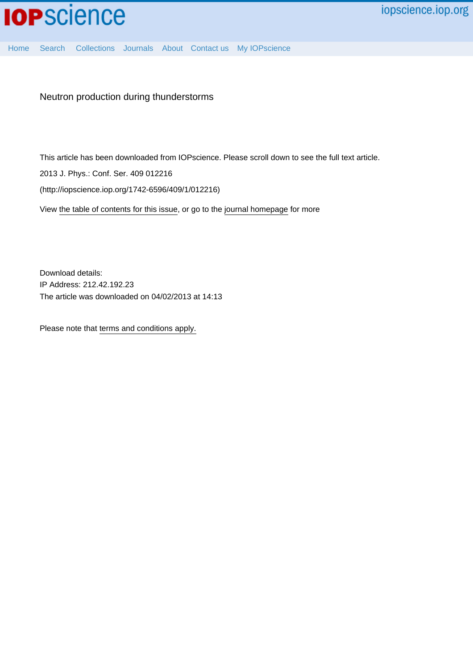

[Home](http://iopscience.iop.org/) [Search](http://iopscience.iop.org/search) [Collections](http://iopscience.iop.org/collections) [Journals](http://iopscience.iop.org/journals) [About](http://iopscience.iop.org/page/aboutioppublishing) [Contact us](http://iopscience.iop.org/contact) [My IOPscience](http://iopscience.iop.org/myiopscience)

Neutron production during thunderstorms

This article has been downloaded from IOPscience. Please scroll down to see the full text article.

2013 J. Phys.: Conf. Ser. 409 012216

(http://iopscience.iop.org/1742-6596/409/1/012216)

View [the table of contents for this issue](http://iopscience.iop.org/1742-6596/409/1), or go to the [journal homepage](http://iopscience.iop.org/1742-6596) for more

Download details: IP Address: 212.42.192.23 The article was downloaded on 04/02/2013 at 14:13

Please note that [terms and conditions apply.](http://iopscience.iop.org/page/terms)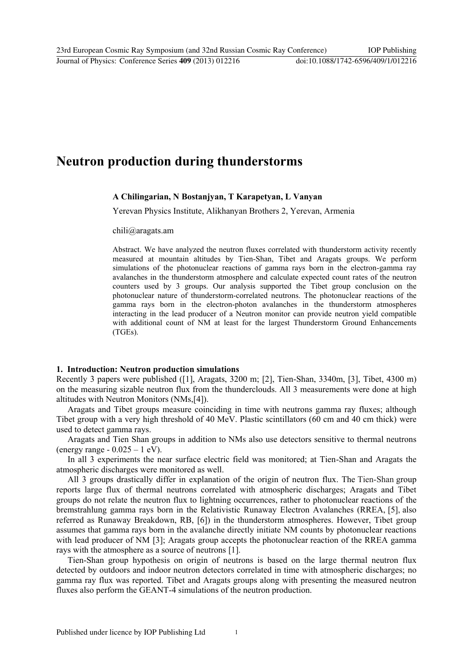# **Neutron production during thunderstorms**

## **A Chilingarian, N Bostanjyan, T Karapetyan, L Vanyan**

Yerevan Physics Institute, Alikhanyan Brothers 2, Yerevan, Armenia

chili@aragats.am

Abstract. We have analyzed the neutron fluxes correlated with thunderstorm activity recently measured at mountain altitudes by Tien-Shan, Tibet and Aragats groups. We perform simulations of the photonuclear reactions of gamma rays born in the electron-gamma ray avalanches in the thunderstorm atmosphere and calculate expected count rates of the neutron counters used by 3 groups. Our analysis supported the Tibet group conclusion on the photonuclear nature of thunderstorm-correlated neutrons. The photonuclear reactions of the gamma rays born in the electron-photon avalanches in the thunderstorm atmospheres interacting in the lead producer of a Neutron monitor can provide neutron yield compatible with additional count of NM at least for the largest Thunderstorm Ground Enhancements (TGEs).

## **1. Introduction: Neutron production simulations**

Recently 3 papers were published ([1], Aragats, 3200 m; [2], Tien-Shan, 3340m, [3], Tibet, 4300 m) on the measuring sizable neutron flux from the thunderclouds. All 3 measurements were done at high altitudes with Neutron Monitors (NMs,[4]).

Aragats and Tibet groups measure coinciding in time with neutrons gamma ray fluxes; although Tibet group with a very high threshold of 40 MeV. Plastic scintillators (60 cm and 40 cm thick) were used to detect gamma rays.

Aragats and Tien Shan groups in addition to NMs also use detectors sensitive to thermal neutrons (energy range  $-0.025 - 1$  eV).

In all 3 experiments the near surface electric field was monitored; at Tien-Shan and Aragats the atmospheric discharges were monitored as well.

All 3 groups drastically differ in explanation of the origin of neutron flux. The Tien-Shan group reports large flux of thermal neutrons correlated with atmospheric discharges; Aragats and Tibet groups do not relate the neutron flux to lightning occurrences, rather to photonuclear reactions of the bremstrahlung gamma rays born in the Relativistic Runaway Electron Avalanches (RREA, [5], also referred as Runaway Breakdown, RB, [6]) in the thunderstorm atmospheres. However, Tibet group assumes that gamma rays born in the avalanche directly initiate NM counts by photonuclear reactions with lead producer of NM [3]; Aragats group accepts the photonuclear reaction of the RREA gamma rays with the atmosphere as a source of neutrons [1].

Tien-Shan group hypothesis on origin of neutrons is based on the large thermal neutron flux detected by outdoors and indoor neutron detectors correlated in time with atmospheric discharges; no gamma ray flux was reported. Tibet and Aragats groups along with presenting the measured neutron fluxes also perform the GEANT-4 simulations of the neutron production.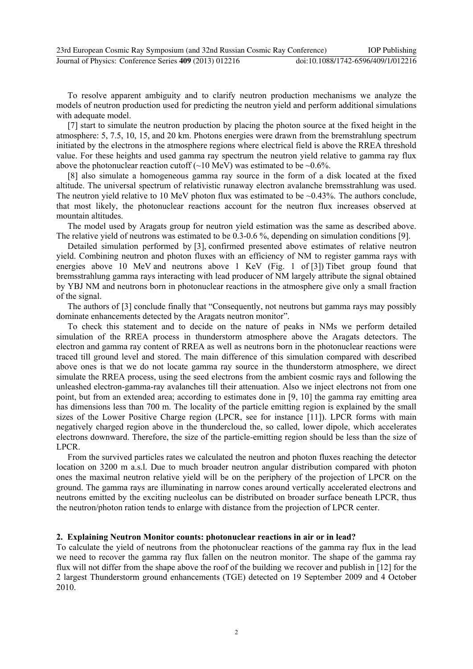| 23rd European Cosmic Ray Symposium (and 32nd Russian Cosmic Ray Conference) | <b>IOP</b> Publishing              |
|-----------------------------------------------------------------------------|------------------------------------|
| Journal of Physics: Conference Series 409 (2013) 012216                     | doi:10.1088/1742-6596/409/1/012216 |

To resolve apparent ambiguity and to clarify neutron production mechanisms we analyze the models of neutron production used for predicting the neutron yield and perform additional simulations with adequate model.

[7] start to simulate the neutron production by placing the photon source at the fixed height in the atmosphere: 5, 7.5, 10, 15, and 20 km. Photons energies were drawn from the bremstrahlung spectrum initiated by the electrons in the atmosphere regions where electrical field is above the RREA threshold value. For these heights and used gamma ray spectrum the neutron yield relative to gamma ray flux above the photonuclear reaction cutoff  $(\sim 10 \text{ MeV})$  was estimated to be  $\sim 0.6\%$ .

[8] also simulate a homogeneous gamma ray source in the form of a disk located at the fixed altitude. The universal spectrum of relativistic runaway electron avalanche bremsstrahlung was used. The neutron yield relative to 10 MeV photon flux was estimated to be  $\sim 0.43\%$ . The authors conclude, that most likely, the photonuclear reactions account for the neutron flux increases observed at mountain altitudes.

The model used by Aragats group for neutron yield estimation was the same as described above. The relative yield of neutrons was estimated to be 0.3-0.6 %, depending on simulation conditions [9].

Detailed simulation performed by [3], confirmed presented above estimates of relative neutron yield. Combining neutron and photon fluxes with an efficiency of NM to register gamma rays with energies above 10 MeV and neutrons above 1 KeV (Fig. 1 of [3]) Tibet group found that bremsstrahlung gamma rays interacting with lead producer of NM largely attribute the signal obtained by YBJ NM and neutrons born in photonuclear reactions in the atmosphere give only a small fraction of the signal.

The authors of [3] conclude finally that "Consequently, not neutrons but gamma rays may possibly dominate enhancements detected by the Aragats neutron monitor".

To check this statement and to decide on the nature of peaks in NMs we perform detailed simulation of the RREA process in thunderstorm atmosphere above the Aragats detectors. The electron and gamma ray content of RREA as well as neutrons born in the photonuclear reactions were traced till ground level and stored. The main difference of this simulation compared with described above ones is that we do not locate gamma ray source in the thunderstorm atmosphere, we direct simulate the RREA process, using the seed electrons from the ambient cosmic rays and following the unleashed electron-gamma-ray avalanches till their attenuation. Also we inject electrons not from one point, but from an extended area; according to estimates done in [9, 10] the gamma ray emitting area has dimensions less than 700 m. The locality of the particle emitting region is explained by the small sizes of the Lower Positive Charge region (LPCR, see for instance [11]). LPCR forms with main negatively charged region above in the thundercloud the, so called, lower dipole, which accelerates electrons downward. Therefore, the size of the particle-emitting region should be less than the size of LPCR.

From the survived particles rates we calculated the neutron and photon fluxes reaching the detector location on 3200 m a.s.l. Due to much broader neutron angular distribution compared with photon ones the maximal neutron relative yield will be on the periphery of the projection of LPCR on the ground. The gamma rays are illuminating in narrow cones around vertically accelerated electrons and neutrons emitted by the exciting nucleolus can be distributed on broader surface beneath LPCR, thus the neutron/photon ration tends to enlarge with distance from the projection of LPCR center.

#### **2. Explaining Neutron Monitor counts: photonuclear reactions in air or in lead?**

To calculate the yield of neutrons from the photonuclear reactions of the gamma ray flux in the lead we need to recover the gamma ray flux fallen on the neutron monitor. The shape of the gamma ray flux will not differ from the shape above the roof of the building we recover and publish in [12] for the 2 largest Thunderstorm ground enhancements (TGE) detected on 19 September 2009 and 4 October 2010.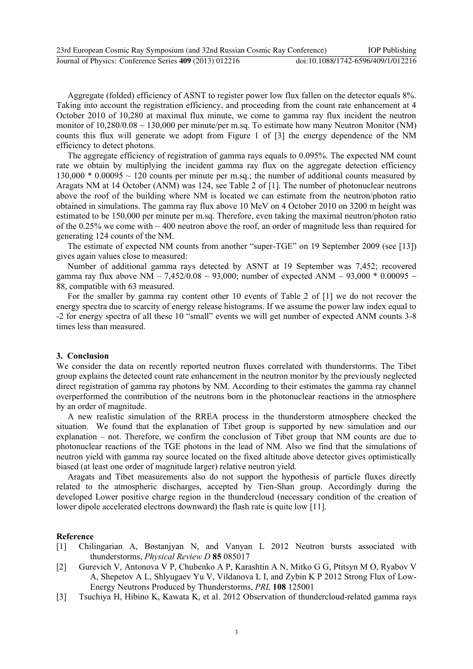| 23rd European Cosmic Ray Symposium (and 32nd Russian Cosmic Ray Conference) | <b>IOP</b> Publishing              |
|-----------------------------------------------------------------------------|------------------------------------|
| Journal of Physics: Conference Series 409 (2013) 012216                     | doi:10.1088/1742-6596/409/1/012216 |

Aggregate (folded) efficiency of ASNT to register power low flux fallen on the detector equals 8%. Taking into account the registration efficiency, and proceeding from the count rate enhancement at 4 October 2010 of 10,280 at maximal flux minute, we come to gamma ray flux incident the neutron monitor of 10,280/0.08 ~ 130,000 per minute/per m.sq. To estimate how many Neutron Monitor (NM) counts this flux will generate we adopt from Figure 1 of [3] the energy dependence of the NM efficiency to detect photons.

The aggregate efficiency of registration of gamma rays equals to 0.095%. The expected NM count rate we obtain by multiplying the incident gamma ray flux on the aggregate detection efficiency 130,000  $*$  0.00095  $\sim$  120 counts per minute per m.sq.; the number of additional counts measured by Aragats NM at 14 October (ANM) was 124, see Table 2 of [1]. The number of photonuclear neutrons above the roof of the building where NM is located we can estimate from the neutron/photon ratio obtained in simulations. The gamma ray flux above 10 MeV on 4 October 2010 on 3200 m height was estimated to be 150,000 per minute per m.sq. Therefore, even taking the maximal neutron/photon ratio of the 0.25% we come with  $\sim$  400 neutron above the roof, an order of magnitude less than required for generating 124 counts of the NM.

The estimate of expected NM counts from another "super-TGE" on 19 September 2009 (see [13]) gives again values close to measured:

Number of additional gamma rays detected by ASNT at 19 September was 7,452; recovered gamma ray flux above NM – 7,452/0.08 ~ 93,000; number of expected ANM – 93,000  $*$  0.00095 ~ 88, compatible with 63 measured.

For the smaller by gamma ray content other 10 events of Table 2 of [1] we do not recover the energy spectra due to scarcity of energy release histograms. If we assume the power law index equal to -2 for energy spectra of all these 10 "small" events we will get number of expected ANM counts 3-8 times less than measured.

## **3. Conclusion**

We consider the data on recently reported neutron fluxes correlated with thunderstorms. The Tibet group explains the detected count rate enhancement in the neutron monitor by the previously neglected direct registration of gamma ray photons by NM. According to their estimates the gamma ray channel overperformed the contribution of the neutrons born in the photonuclear reactions in the atmosphere by an order of magnitude.

A new realistic simulation of the RREA process in the thunderstorm atmosphere checked the situation. We found that the explanation of Tibet group is supported by new simulation and our explanation – not. Therefore, we confirm the conclusion of Tibet group that NM counts are due to photonuclear reactions of the TGE photons in the lead of NM. Also we find that the simulations of neutron yield with gamma ray source located on the fixed altitude above detector gives optimistically biased (at least one order of magnitude larger) relative neutron yield.

Aragats and Tibet measurements also do not support the hypothesis of particle fluxes directly related to the atmospheric discharges, accepted by Tien-Shan group. Accordingly during the developed Lower positive charge region in the thundercloud (necessary condition of the creation of lower dipole accelerated electrons downward) the flash rate is quite low [11].

#### **Reference**

- [1] Chilingarian A, Bostanjyan N, and Vanyan L 2012 Neutron bursts associated with thunderstorms, *Physical Review D* **85** 085017
- [2] Gurevich V, Antonova V P, Chubenko A P, Karashtin A N, Mitko G G, Ptitsyn M O, Ryabov V A, Shepetov A L, Shlyugaev Yu V, Vildanova L I, and Zybin K P 2012 Strong Flux of Low-Energy Neutrons Produced by Thunderstorms, *PRL* **108** 125001
- [3] Tsuchiya H, Hibino K, Kawata K, et al. 2012 Observation of thundercloud-related gamma rays